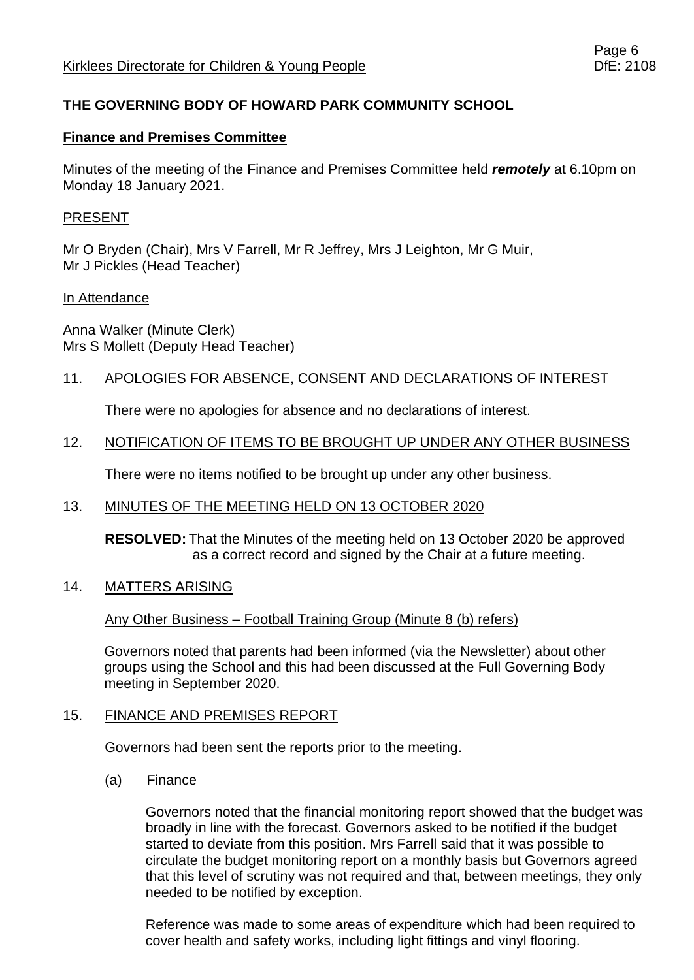## **THE GOVERNING BODY OF HOWARD PARK COMMUNITY SCHOOL**

### **Finance and Premises Committee**

Minutes of the meeting of the Finance and Premises Committee held *remotely* at 6.10pm on Monday 18 January 2021.

#### PRESENT

Mr O Bryden (Chair), Mrs V Farrell, Mr R Jeffrey, Mrs J Leighton, Mr G Muir, Mr J Pickles (Head Teacher)

#### In Attendance

Anna Walker (Minute Clerk) Mrs S Mollett (Deputy Head Teacher)

## 11. APOLOGIES FOR ABSENCE, CONSENT AND DECLARATIONS OF INTEREST

There were no apologies for absence and no declarations of interest.

## 12. NOTIFICATION OF ITEMS TO BE BROUGHT UP UNDER ANY OTHER BUSINESS

There were no items notified to be brought up under any other business.

## 13. MINUTES OF THE MEETING HELD ON 13 OCTOBER 2020

**RESOLVED:** That the Minutes of the meeting held on 13 October 2020 be approved as a correct record and signed by the Chair at a future meeting.

## 14. MATTERS ARISING

Any Other Business – Football Training Group (Minute 8 (b) refers)

Governors noted that parents had been informed (via the Newsletter) about other groups using the School and this had been discussed at the Full Governing Body meeting in September 2020.

#### 15. FINANCE AND PREMISES REPORT

Governors had been sent the reports prior to the meeting.

(a) Finance

Governors noted that the financial monitoring report showed that the budget was broadly in line with the forecast. Governors asked to be notified if the budget started to deviate from this position. Mrs Farrell said that it was possible to circulate the budget monitoring report on a monthly basis but Governors agreed that this level of scrutiny was not required and that, between meetings, they only needed to be notified by exception.

Reference was made to some areas of expenditure which had been required to cover health and safety works, including light fittings and vinyl flooring.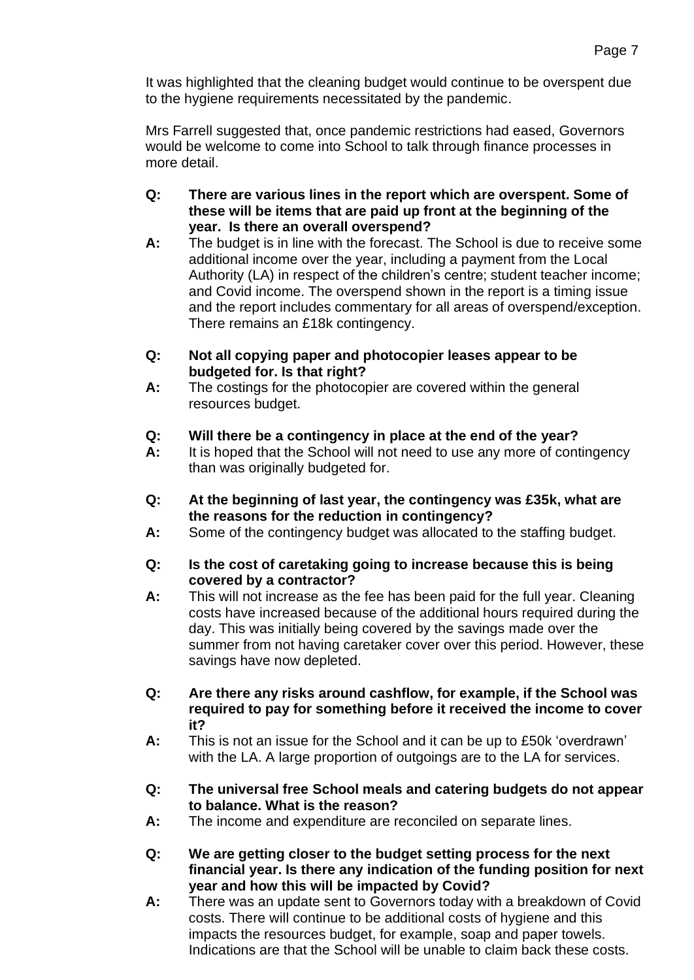It was highlighted that the cleaning budget would continue to be overspent due to the hygiene requirements necessitated by the pandemic.

Mrs Farrell suggested that, once pandemic restrictions had eased, Governors would be welcome to come into School to talk through finance processes in more detail.

- **Q: There are various lines in the report which are overspent. Some of these will be items that are paid up front at the beginning of the year. Is there an overall overspend?**
- **A:** The budget is in line with the forecast. The School is due to receive some additional income over the year, including a payment from the Local Authority (LA) in respect of the children's centre; student teacher income; and Covid income. The overspend shown in the report is a timing issue and the report includes commentary for all areas of overspend/exception. There remains an £18k contingency.
- **Q: Not all copying paper and photocopier leases appear to be budgeted for. Is that right?**
- **A:** The costings for the photocopier are covered within the general resources budget.
- **Q: Will there be a contingency in place at the end of the year?**
- **A:** It is hoped that the School will not need to use any more of contingency than was originally budgeted for.
- **Q: At the beginning of last year, the contingency was £35k, what are the reasons for the reduction in contingency?**
- **A:** Some of the contingency budget was allocated to the staffing budget.
- **Q: Is the cost of caretaking going to increase because this is being covered by a contractor?**
- **A:** This will not increase as the fee has been paid for the full year. Cleaning costs have increased because of the additional hours required during the day. This was initially being covered by the savings made over the summer from not having caretaker cover over this period. However, these savings have now depleted.
- **Q: Are there any risks around cashflow, for example, if the School was required to pay for something before it received the income to cover it?**
- **A:** This is not an issue for the School and it can be up to £50k 'overdrawn' with the LA. A large proportion of outgoings are to the LA for services.
- **Q: The universal free School meals and catering budgets do not appear to balance. What is the reason?**
- **A:** The income and expenditure are reconciled on separate lines.
- **Q: We are getting closer to the budget setting process for the next financial year. Is there any indication of the funding position for next year and how this will be impacted by Covid?**
- **A:** There was an update sent to Governors today with a breakdown of Covid costs. There will continue to be additional costs of hygiene and this impacts the resources budget, for example, soap and paper towels. Indications are that the School will be unable to claim back these costs.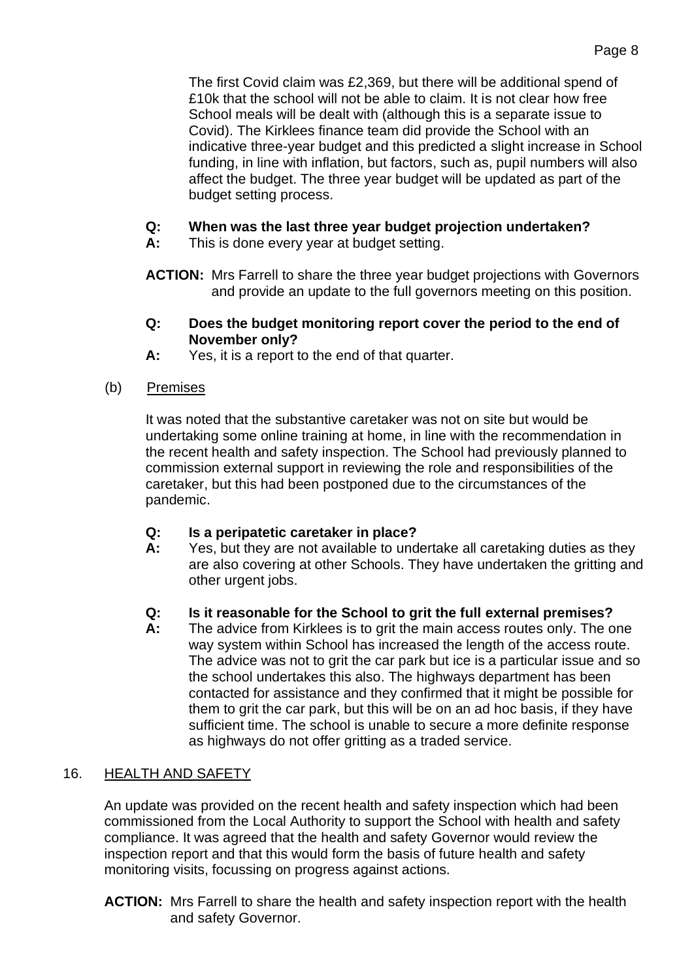The first Covid claim was £2,369, but there will be additional spend of £10k that the school will not be able to claim. It is not clear how free School meals will be dealt with (although this is a separate issue to Covid). The Kirklees finance team did provide the School with an indicative three-year budget and this predicted a slight increase in School funding, in line with inflation, but factors, such as, pupil numbers will also affect the budget. The three year budget will be updated as part of the budget setting process.

# **Q: When was the last three year budget projection undertaken?**

**A:** This is done every year at budget setting.

**ACTION:** Mrs Farrell to share the three year budget projections with Governors and provide an update to the full governors meeting on this position.

- **Q: Does the budget monitoring report cover the period to the end of November only?**
- **A:** Yes, it is a report to the end of that quarter.
- (b) Premises

It was noted that the substantive caretaker was not on site but would be undertaking some online training at home, in line with the recommendation in the recent health and safety inspection. The School had previously planned to commission external support in reviewing the role and responsibilities of the caretaker, but this had been postponed due to the circumstances of the pandemic.

# **Q: Is a peripatetic caretaker in place?**

**A:** Yes, but they are not available to undertake all caretaking duties as they are also covering at other Schools. They have undertaken the gritting and other urgent jobs.

# **Q: Is it reasonable for the School to grit the full external premises?**

**A:** The advice from Kirklees is to grit the main access routes only. The one way system within School has increased the length of the access route. The advice was not to grit the car park but ice is a particular issue and so the school undertakes this also. The highways department has been contacted for assistance and they confirmed that it might be possible for them to grit the car park, but this will be on an ad hoc basis, if they have sufficient time. The school is unable to secure a more definite response as highways do not offer gritting as a traded service.

# 16. HEALTH AND SAFETY

An update was provided on the recent health and safety inspection which had been commissioned from the Local Authority to support the School with health and safety compliance. It was agreed that the health and safety Governor would review the inspection report and that this would form the basis of future health and safety monitoring visits, focussing on progress against actions.

**ACTION:** Mrs Farrell to share the health and safety inspection report with the health and safety Governor.